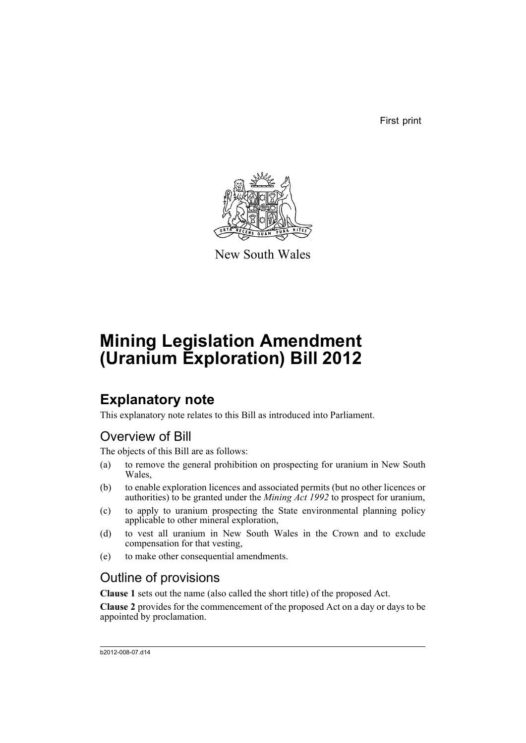First print



New South Wales

# **Mining Legislation Amendment (Uranium Exploration) Bill 2012**

## **Explanatory note**

This explanatory note relates to this Bill as introduced into Parliament.

### Overview of Bill

The objects of this Bill are as follows:

- (a) to remove the general prohibition on prospecting for uranium in New South Wales,
- (b) to enable exploration licences and associated permits (but no other licences or authorities) to be granted under the *Mining Act 1992* to prospect for uranium,
- (c) to apply to uranium prospecting the State environmental planning policy applicable to other mineral exploration,
- (d) to vest all uranium in New South Wales in the Crown and to exclude compensation for that vesting,
- (e) to make other consequential amendments.

## Outline of provisions

**Clause 1** sets out the name (also called the short title) of the proposed Act.

**Clause 2** provides for the commencement of the proposed Act on a day or days to be appointed by proclamation.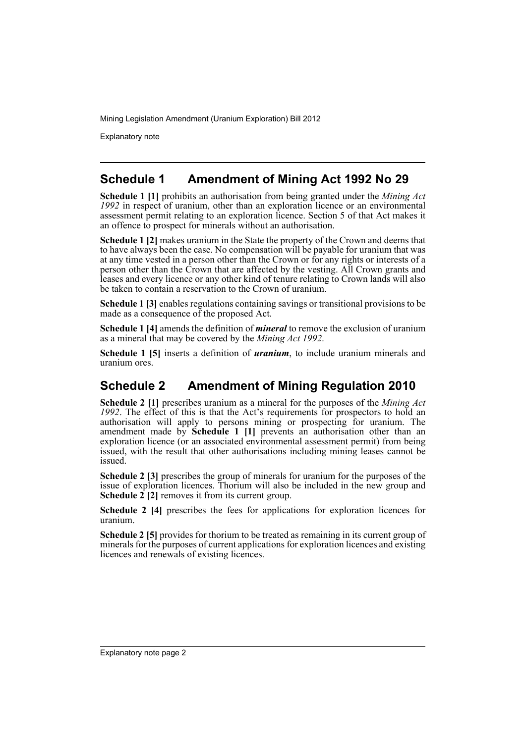Explanatory note

#### **Schedule 1 Amendment of Mining Act 1992 No 29**

**Schedule 1 [1]** prohibits an authorisation from being granted under the *Mining Act 1992* in respect of uranium, other than an exploration licence or an environmental assessment permit relating to an exploration licence. Section 5 of that Act makes it an offence to prospect for minerals without an authorisation.

**Schedule 1 [2]** makes uranium in the State the property of the Crown and deems that to have always been the case. No compensation will be payable for uranium that was at any time vested in a person other than the Crown or for any rights or interests of a person other than the Crown that are affected by the vesting. All Crown grants and leases and every licence or any other kind of tenure relating to Crown lands will also be taken to contain a reservation to the Crown of uranium.

**Schedule 1 [3]** enables regulations containing savings or transitional provisions to be made as a consequence of the proposed Act.

**Schedule 1 [4]** amends the definition of *mineral* to remove the exclusion of uranium as a mineral that may be covered by the *Mining Act 1992*.

**Schedule 1 [5]** inserts a definition of *uranium*, to include uranium minerals and uranium ores.

### **Schedule 2 Amendment of Mining Regulation 2010**

**Schedule 2 [1]** prescribes uranium as a mineral for the purposes of the *Mining Act 1992*. The effect of this is that the Act's requirements for prospectors to hold an authorisation will apply to persons mining or prospecting for uranium. The amendment made by **Schedule 1 [1]** prevents an authorisation other than an exploration licence (or an associated environmental assessment permit) from being issued, with the result that other authorisations including mining leases cannot be issued.

**Schedule 2 [3]** prescribes the group of minerals for uranium for the purposes of the issue of exploration licences. Thorium will also be included in the new group and **Schedule 2 [2]** removes it from its current group.

**Schedule 2 [4]** prescribes the fees for applications for exploration licences for uranium.

**Schedule 2 [5]** provides for thorium to be treated as remaining in its current group of minerals for the purposes of current applications for exploration licences and existing licences and renewals of existing licences.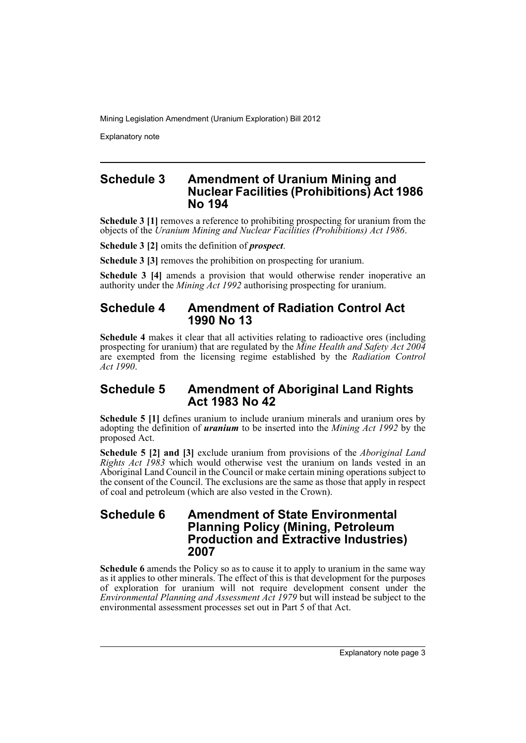Explanatory note

#### **Schedule 3 Amendment of Uranium Mining and Nuclear Facilities (Prohibitions) Act 1986 No 194**

**Schedule 3 [1]** removes a reference to prohibiting prospecting for uranium from the objects of the *Uranium Mining and Nuclear Facilities (Prohibitions) Act 1986*.

**Schedule 3 [2]** omits the definition of *prospect*.

**Schedule 3 [3]** removes the prohibition on prospecting for uranium.

**Schedule 3 [4]** amends a provision that would otherwise render inoperative an authority under the *Mining Act 1992* authorising prospecting for uranium.

#### **Schedule 4 Amendment of Radiation Control Act 1990 No 13**

**Schedule 4** makes it clear that all activities relating to radioactive ores (including prospecting for uranium) that are regulated by the *Mine Health and Safety Act 2004* are exempted from the licensing regime established by the *Radiation Control Act 1990*.

#### **Schedule 5 Amendment of Aboriginal Land Rights Act 1983 No 42**

**Schedule 5 [1]** defines uranium to include uranium minerals and uranium ores by adopting the definition of *uranium* to be inserted into the *Mining Act 1992* by the proposed Act.

**Schedule 5 [2] and [3]** exclude uranium from provisions of the *Aboriginal Land Rights Act 1983* which would otherwise vest the uranium on lands vested in an Aboriginal Land Council in the Council or make certain mining operations subject to the consent of the Council. The exclusions are the same as those that apply in respect of coal and petroleum (which are also vested in the Crown).

#### **Schedule 6 Amendment of State Environmental Planning Policy (Mining, Petroleum Production and Extractive Industries) 2007**

**Schedule 6** amends the Policy so as to cause it to apply to uranium in the same way as it applies to other minerals. The effect of this is that development for the purposes of exploration for uranium will not require development consent under the *Environmental Planning and Assessment Act 1979* but will instead be subject to the environmental assessment processes set out in Part 5 of that Act.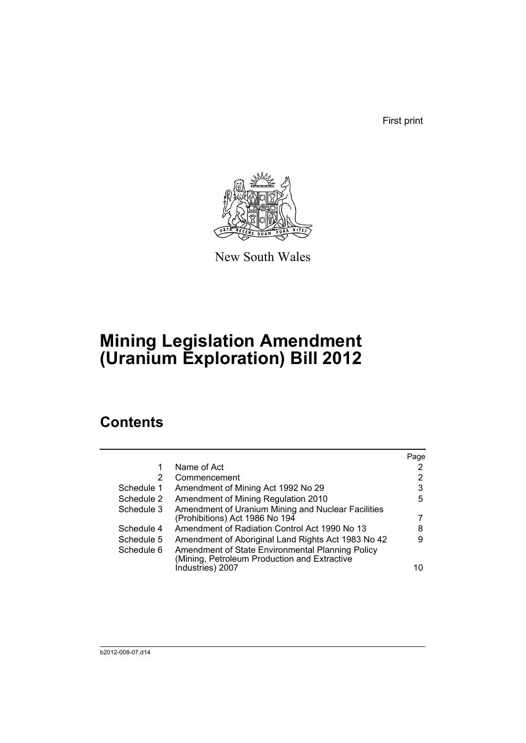First print



New South Wales

# **Mining Legislation Amendment (Uranium Exploration) Bill 2012**

## **Contents**

|            |                                                                                                  | Page |
|------------|--------------------------------------------------------------------------------------------------|------|
|            | Name of Act                                                                                      |      |
| 2          | Commencement                                                                                     | 2    |
| Schedule 1 | Amendment of Mining Act 1992 No 29                                                               | 3    |
| Schedule 2 | Amendment of Mining Regulation 2010                                                              | 5    |
| Schedule 3 | Amendment of Uranium Mining and Nuclear Facilities                                               |      |
|            | (Prohibitions) Act 1986 No 194                                                                   |      |
| Schedule 4 | Amendment of Radiation Control Act 1990 No 13                                                    | 8    |
| Schedule 5 | Amendment of Aboriginal Land Rights Act 1983 No 42                                               | 9    |
| Schedule 6 | Amendment of State Environmental Planning Policy<br>(Mining, Petroleum Production and Extractive |      |
|            | Industries) 2007                                                                                 | 10   |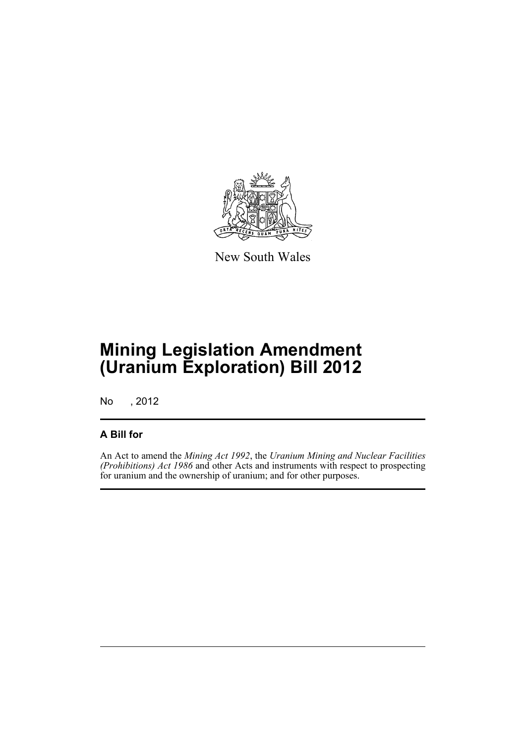

New South Wales

# **Mining Legislation Amendment (Uranium Exploration) Bill 2012**

No , 2012

#### **A Bill for**

An Act to amend the *Mining Act 1992*, the *Uranium Mining and Nuclear Facilities (Prohibitions) Act 1986* and other Acts and instruments with respect to prospecting for uranium and the ownership of uranium; and for other purposes.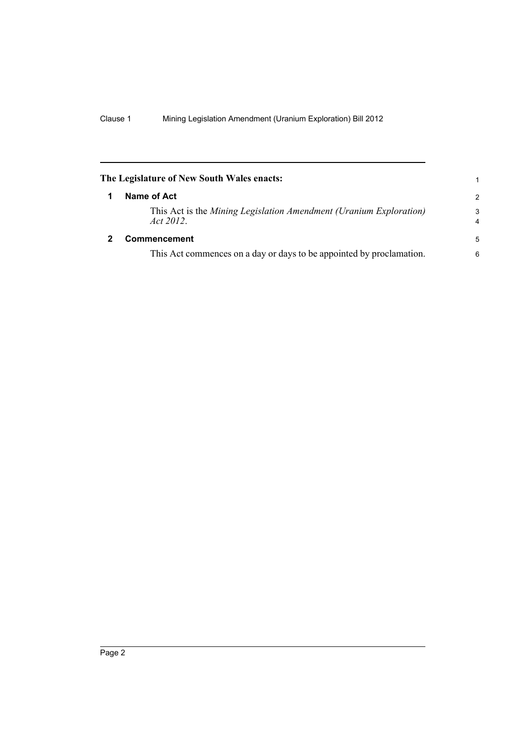<span id="page-7-1"></span><span id="page-7-0"></span>

| The Legislature of New South Wales enacts:                                      | 1             |
|---------------------------------------------------------------------------------|---------------|
| Name of Act                                                                     | $\mathcal{P}$ |
| This Act is the Mining Legislation Amendment (Uranium Exploration)<br>Act 2012. | 3<br>4        |
| <b>Commencement</b>                                                             | -5            |
| This Act commences on a day or days to be appointed by proclamation.            | 6             |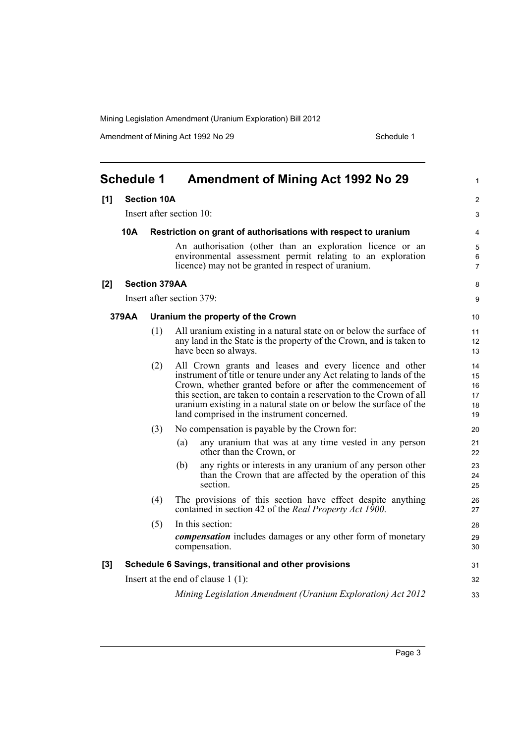Amendment of Mining Act 1992 No 29 Schedule 1

<span id="page-8-0"></span>

|     | <b>Schedule 1</b>                                                            |                      | Amendment of Mining Act 1992 No 29                                                                                                                                                                                                                                                                                                                                                         | $\mathbf{1}$                     |
|-----|------------------------------------------------------------------------------|----------------------|--------------------------------------------------------------------------------------------------------------------------------------------------------------------------------------------------------------------------------------------------------------------------------------------------------------------------------------------------------------------------------------------|----------------------------------|
| [1] | <b>Section 10A</b>                                                           |                      |                                                                                                                                                                                                                                                                                                                                                                                            | $\overline{2}$                   |
|     |                                                                              |                      | Insert after section 10:                                                                                                                                                                                                                                                                                                                                                                   | 3                                |
|     | <b>10A</b><br>Restriction on grant of authorisations with respect to uranium |                      |                                                                                                                                                                                                                                                                                                                                                                                            | 4                                |
|     |                                                                              |                      | An authorisation (other than an exploration licence or an<br>environmental assessment permit relating to an exploration<br>licence) may not be granted in respect of uranium.                                                                                                                                                                                                              | 5<br>6<br>$\overline{7}$         |
| [2] |                                                                              | <b>Section 379AA</b> |                                                                                                                                                                                                                                                                                                                                                                                            | 8                                |
|     |                                                                              |                      | Insert after section 379:                                                                                                                                                                                                                                                                                                                                                                  | 9                                |
|     | 379AA                                                                        |                      | Uranium the property of the Crown                                                                                                                                                                                                                                                                                                                                                          | 10                               |
|     |                                                                              | (1)                  | All uranium existing in a natural state on or below the surface of<br>any land in the State is the property of the Crown, and is taken to<br>have been so always.                                                                                                                                                                                                                          | 11<br>12<br>13                   |
|     |                                                                              | (2)                  | All Crown grants and leases and every licence and other<br>instrument of title or tenure under any Act relating to lands of the<br>Crown, whether granted before or after the commencement of<br>this section, are taken to contain a reservation to the Crown of all<br>uranium existing in a natural state on or below the surface of the<br>land comprised in the instrument concerned. | 14<br>15<br>16<br>17<br>18<br>19 |
|     |                                                                              | (3)                  | No compensation is payable by the Crown for:                                                                                                                                                                                                                                                                                                                                               | 20                               |
|     |                                                                              |                      | any uranium that was at any time vested in any person<br>(a)<br>other than the Crown, or                                                                                                                                                                                                                                                                                                   | 21<br>22                         |
|     |                                                                              |                      | any rights or interests in any uranium of any person other<br>(b)<br>than the Crown that are affected by the operation of this<br>section.                                                                                                                                                                                                                                                 | 23<br>24<br>25                   |
|     |                                                                              | (4)                  | The provisions of this section have effect despite anything<br>contained in section 42 of the <i>Real Property Act 1900</i> .                                                                                                                                                                                                                                                              | 26<br>27                         |
|     |                                                                              | (5)                  | In this section:<br><i>compensation</i> includes damages or any other form of monetary<br>compensation.                                                                                                                                                                                                                                                                                    | 28<br>29<br>30                   |
| [3] |                                                                              |                      | Schedule 6 Savings, transitional and other provisions                                                                                                                                                                                                                                                                                                                                      | 31                               |
|     |                                                                              |                      | Insert at the end of clause $1(1)$ :                                                                                                                                                                                                                                                                                                                                                       | 32                               |
|     |                                                                              |                      | Mining Legislation Amendment (Uranium Exploration) Act 2012                                                                                                                                                                                                                                                                                                                                | 33                               |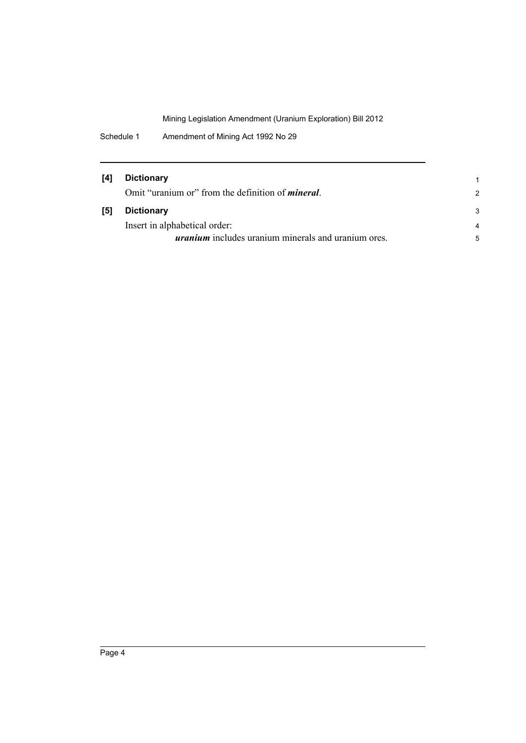Schedule 1 Amendment of Mining Act 1992 No 29

| [4] | <b>Dictionary</b>                                          |                |
|-----|------------------------------------------------------------|----------------|
|     | Omit "uranium or" from the definition of <i>mineral</i> .  | $\mathcal{P}$  |
| [5] | <b>Dictionary</b>                                          | 3              |
|     | Insert in alphabetical order:                              | $\overline{a}$ |
|     | <i>uranium</i> includes uranium minerals and uranium ores. | 5              |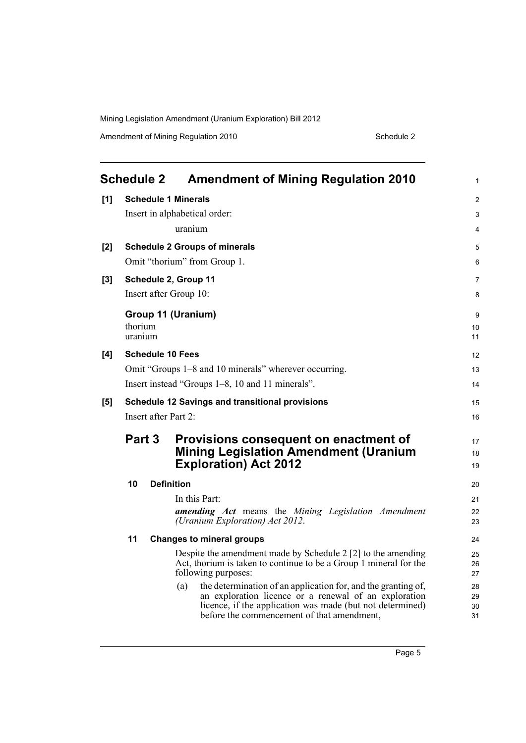Amendment of Mining Regulation 2010 Schedule 2

<span id="page-10-0"></span>

|     | <b>Schedule 2</b>             |  | <b>Amendment of Mining Regulation 2010</b>                                                                         | 1        |
|-----|-------------------------------|--|--------------------------------------------------------------------------------------------------------------------|----------|
| [1] | <b>Schedule 1 Minerals</b>    |  |                                                                                                                    | 2        |
|     | Insert in alphabetical order: |  |                                                                                                                    | 3        |
|     |                               |  | uranium                                                                                                            | 4        |
| [2] |                               |  | <b>Schedule 2 Groups of minerals</b>                                                                               | 5        |
|     |                               |  | Omit "thorium" from Group 1.                                                                                       | 6        |
| [3] |                               |  | Schedule 2, Group 11                                                                                               | 7        |
|     |                               |  | Insert after Group 10:                                                                                             | 8        |
|     |                               |  | Group 11 (Uranium)                                                                                                 | 9        |
|     | thorium                       |  |                                                                                                                    | 10       |
|     | uranium                       |  |                                                                                                                    | 11       |
| [4] |                               |  | <b>Schedule 10 Fees</b>                                                                                            | 12       |
|     |                               |  | Omit "Groups 1–8 and 10 minerals" wherever occurring.                                                              | 13       |
|     |                               |  | Insert instead "Groups 1–8, 10 and 11 minerals".                                                                   | 14       |
| [5] |                               |  | <b>Schedule 12 Savings and transitional provisions</b>                                                             | 15       |
|     |                               |  | Insert after Part 2:                                                                                               | 16       |
|     | Part 3                        |  | Provisions consequent on enactment of                                                                              | 17       |
|     |                               |  | <b>Mining Legislation Amendment (Uranium</b>                                                                       | 18       |
|     |                               |  | <b>Exploration) Act 2012</b>                                                                                       | 19       |
|     | 10                            |  | <b>Definition</b>                                                                                                  | 20       |
|     |                               |  | In this Part:                                                                                                      | 21       |
|     |                               |  | amending Act means the Mining Legislation Amendment<br>(Uranium Exploration) Act 2012.                             | 22<br>23 |
|     | 11                            |  | <b>Changes to mineral groups</b>                                                                                   | 24       |
|     |                               |  | Despite the amendment made by Schedule 2 [2] to the amending                                                       | 25       |
|     |                               |  | Act, thorium is taken to continue to be a Group 1 mineral for the<br>following purposes:                           | 26<br>27 |
|     |                               |  | the determination of an application for, and the granting of,<br>(a)                                               | 28       |
|     |                               |  | an exploration licence or a renewal of an exploration<br>licence, if the application was made (but not determined) | 29<br>30 |
|     |                               |  | before the commencement of that amendment,                                                                         | 31       |
|     |                               |  |                                                                                                                    |          |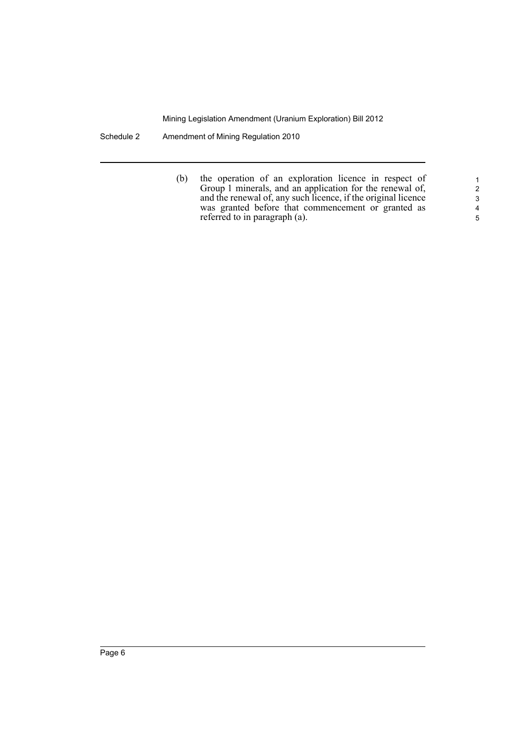Schedule 2 Amendment of Mining Regulation 2010

(b) the operation of an exploration licence in respect of Group 1 minerals, and an application for the renewal of, and the renewal of, any such licence, if the original licence was granted before that commencement or granted as referred to in paragraph (a).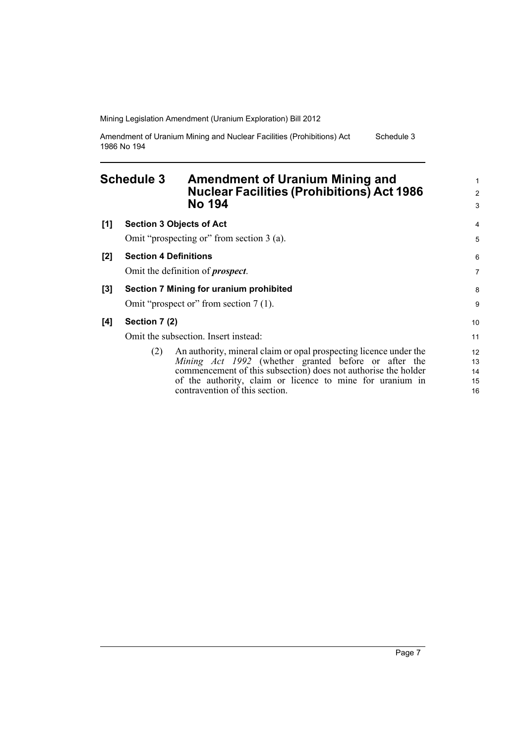Amendment of Uranium Mining and Nuclear Facilities (Prohibitions) Act 1986 No 194 Schedule 3

#### <span id="page-12-0"></span>**Schedule 3 Amendment of Uranium Mining and Nuclear Facilities (Prohibitions) Act 1986 No 194**

| [1] | <b>Section 3 Objects of Act</b>                                          | 4  |
|-----|--------------------------------------------------------------------------|----|
|     | Omit "prospecting or" from section 3 (a).                                | 5  |
| [2] | <b>Section 4 Definitions</b>                                             | 6  |
|     | Omit the definition of <i>prospect</i> .                                 | 7  |
| [3] | Section 7 Mining for uranium prohibited                                  |    |
|     | Omit "prospect or" from section 7 (1).                                   | 9  |
| [4] | Section 7 (2)                                                            | 10 |
|     | Omit the subsection. Insert instead:                                     | 11 |
|     | An authority, mineral claim or opal prospecting licence under the<br>(2) | 12 |
|     | Mining Act 1992 (whether granted before or after the                     | 13 |
|     | commencement of this subsection) does not authorise the holder           | 14 |
|     | of the authority, claim or licence to mine for uranium in                | 15 |
|     | contravention of this section.                                           | 16 |

1 2 3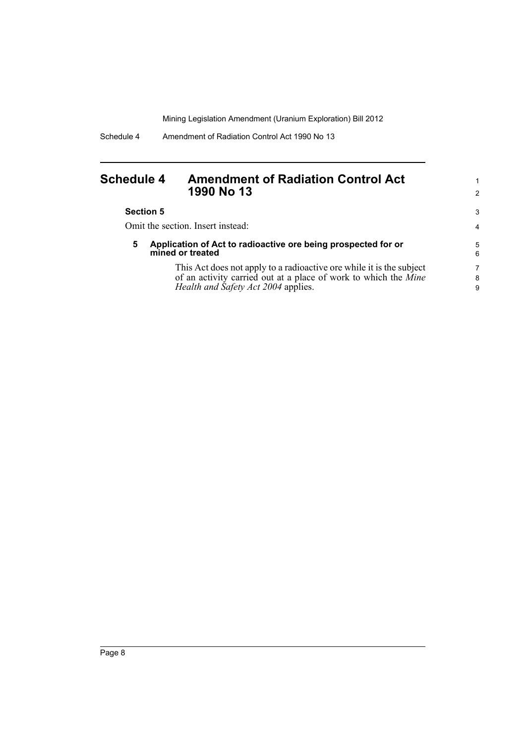#### <span id="page-13-0"></span>**Schedule 4 Amendment of Radiation Control Act 1990 No 13**

| <b>Section 5</b> |  |
|------------------|--|
|                  |  |

Omit the section. Insert instead:

**5 Application of Act to radioactive ore being prospected for or mined or treated**

> This Act does not apply to a radioactive ore while it is the subject of an activity carried out at a place of work to which the *Mine Health and Safety Act 2004* applies.

1 2

3 4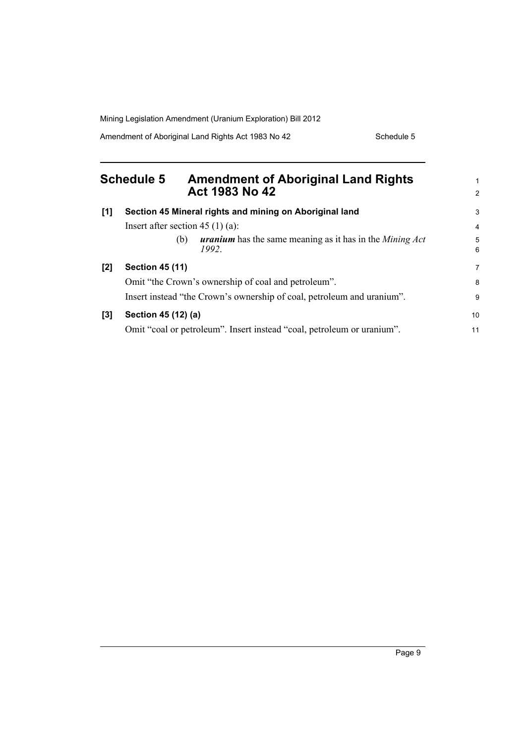Amendment of Aboriginal Land Rights Act 1983 No 42 Schedule 5

<span id="page-14-0"></span>

| <b>Schedule 5</b> |                                    | <b>Amendment of Aboriginal Land Rights</b><br>Act 1983 No 42                          |                     |
|-------------------|------------------------------------|---------------------------------------------------------------------------------------|---------------------|
| [1]               |                                    | Section 45 Mineral rights and mining on Aboriginal land                               | 3                   |
|                   | Insert after section 45 $(1)$ (a): |                                                                                       | 4                   |
|                   |                                    | <b>uranium</b> has the same meaning as it has in the <i>Mining Act</i><br>(b)<br>1992 | 5<br>$6\phantom{a}$ |
| [2]               | <b>Section 45 (11)</b>             |                                                                                       | 7                   |
|                   |                                    | Omit "the Crown's ownership of coal and petroleum".                                   | 8                   |
|                   |                                    | Insert instead "the Crown's ownership of coal, petroleum and uranium".                | 9                   |
| [3]               | Section 45 (12) (a)                |                                                                                       | 10                  |
|                   |                                    | Omit "coal or petroleum". Insert instead "coal, petroleum or uranium".                | 11                  |